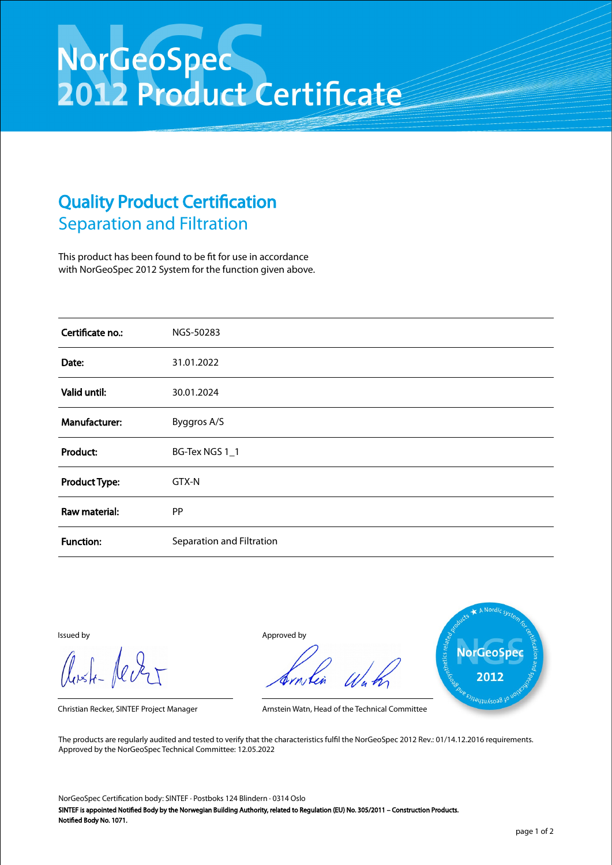## NorGeoSpec<br>2012 Product Certificate

## Quality Product Certification Separation and Filtration

This product has been found to be fit for use in accordance with NorGeoSpec 2012 System for the function given above.

| Certificate no.:     | NGS-50283                 |
|----------------------|---------------------------|
| Date:                | 31.01.2022                |
| Valid until:         | 30.01.2024                |
| Manufacturer:        | Byggros A/S               |
| Product:             | BG-Tex NGS 1_1            |
| <b>Product Type:</b> | GTX-N                     |
| Raw material:        | PP                        |
| <b>Function:</b>     | Separation and Filtration |

Aust-Jever

Issued by Approved by



Christian Recker, SINTEF Project Manager Arnstein Watn, Head of the Technical Committee

The products are regularly audited and tested to verify that the characteristics fulfil the NorGeoSpec 2012 Rev.: 01/14.12.2016 requirements. Approved by the NorGeoSpec Technical Committee: 12.05.2022